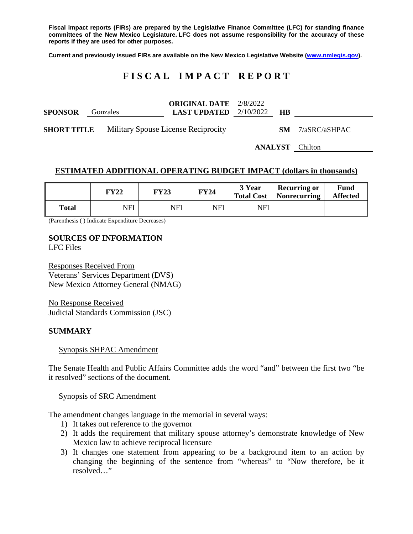**Fiscal impact reports (FIRs) are prepared by the Legislative Finance Committee (LFC) for standing finance committees of the New Mexico Legislature. LFC does not assume responsibility for the accuracy of these reports if they are used for other purposes.**

**Current and previously issued FIRs are available on the New Mexico Legislative Website [\(www.nmlegis.gov\)](http://www.nmlegis.gov/).**

# **F I S C A L I M P A C T R E P O R T**

| <b>SPONSOR</b>     | Gonzales | <b>ORIGINAL DATE</b> $2/8/2022$<br><b>LAST UPDATED</b> $2/10/2022$ |  | HВ |                         |  |
|--------------------|----------|--------------------------------------------------------------------|--|----|-------------------------|--|
| <b>SHORT TITLE</b> |          | Military Spouse License Reciprocity                                |  |    | <b>SM</b> 7/aSRC/aSHPAC |  |
|                    |          |                                                                    |  |    | <b>ANALYST</b> Chilton  |  |

#### **ESTIMATED ADDITIONAL OPERATING BUDGET IMPACT (dollars in thousands)**

|       | FY22 | <b>FY23</b> | <b>FY24</b> | 3 Year<br><b>Total Cost</b> | <b>Recurring or</b><br>Nonrecurring | Fund<br><b>Affected</b> |
|-------|------|-------------|-------------|-----------------------------|-------------------------------------|-------------------------|
| Total | NFI  | <b>NFI</b>  | NFI         | NFI                         |                                     |                         |

(Parenthesis ( ) Indicate Expenditure Decreases)

# **SOURCES OF INFORMATION**

LFC Files

Responses Received From Veterans' Services Department (DVS) New Mexico Attorney General (NMAG)

No Response Received Judicial Standards Commission (JSC)

#### **SUMMARY**

Synopsis SHPAC Amendment

The Senate Health and Public Affairs Committee adds the word "and" between the first two "be it resolved" sections of the document.

#### Synopsis of SRC Amendment

The amendment changes language in the memorial in several ways:

- 1) It takes out reference to the governor
- 2) It adds the requirement that military spouse attorney's demonstrate knowledge of New Mexico law to achieve reciprocal licensure
- 3) It changes one statement from appearing to be a background item to an action by changing the beginning of the sentence from "whereas" to "Now therefore, be it resolved…"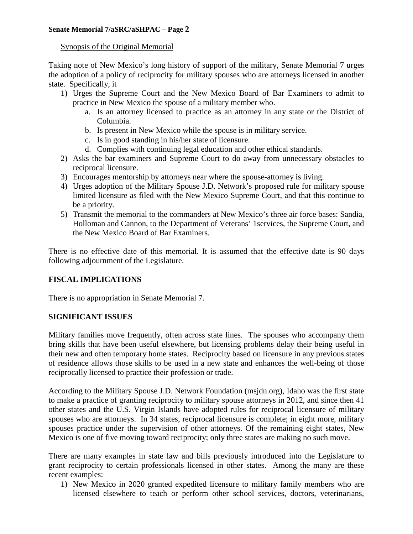#### Synopsis of the Original Memorial

Taking note of New Mexico's long history of support of the military, Senate Memorial 7 urges the adoption of a policy of reciprocity for military spouses who are attorneys licensed in another state. Specifically, it

- 1) Urges the Supreme Court and the New Mexico Board of Bar Examiners to admit to practice in New Mexico the spouse of a military member who.
	- a. Is an attorney licensed to practice as an attorney in any state or the District of Columbia.
	- b. Is present in New Mexico while the spouse is in military service.
	- c. Is in good standing in his/her state of licensure.
	- d. Complies with continuing legal education and other ethical standards.
- 2) Asks the bar examiners and Supreme Court to do away from unnecessary obstacles to reciprocal licensure.
- 3) Encourages mentorship by attorneys near where the spouse-attorney is living.
- 4) Urges adoption of the Military Spouse J.D. Network's proposed rule for military spouse limited licensure as filed with the New Mexico Supreme Court, and that this continue to be a priority.
- 5) Transmit the memorial to the commanders at New Mexico's three air force bases: Sandia, Holloman and Cannon, to the Department of Veterans' 1services, the Supreme Court, and the New Mexico Board of Bar Examiners.

There is no effective date of this memorial. It is assumed that the effective date is 90 days following adjournment of the Legislature.

# **FISCAL IMPLICATIONS**

There is no appropriation in Senate Memorial 7.

# **SIGNIFICANT ISSUES**

Military families move frequently, often across state lines. The spouses who accompany them bring skills that have been useful elsewhere, but licensing problems delay their being useful in their new and often temporary home states. Reciprocity based on licensure in any previous states of residence allows those skills to be used in a new state and enhances the well-being of those reciprocally licensed to practice their profession or trade.

According to the Military Spouse J.D. Network Foundation (msjdn.org), Idaho was the first state to make a practice of granting reciprocity to military spouse attorneys in 2012, and since then 41 other states and the U.S. Virgin Islands have adopted rules for reciprocal licensure of military spouses who are attorneys. In 34 states, reciprocal licensure is complete; in eight more, military spouses practice under the supervision of other attorneys. Of the remaining eight states, New Mexico is one of five moving toward reciprocity; only three states are making no such move.

There are many examples in state law and bills previously introduced into the Legislature to grant reciprocity to certain professionals licensed in other states. Among the many are these recent examples:

1) New Mexico in 2020 granted expedited licensure to military family members who are licensed elsewhere to teach or perform other school services, doctors, veterinarians,